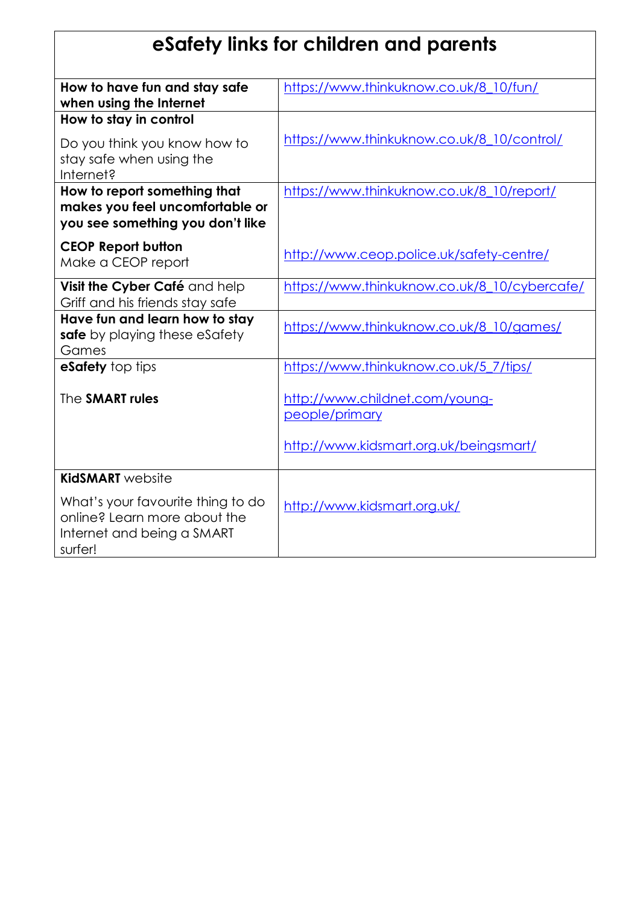| eSafety links for children and parents                                                                     |                                                  |
|------------------------------------------------------------------------------------------------------------|--------------------------------------------------|
| How to have fun and stay safe<br>when using the Internet                                                   | https://www.thinkuknow.co.uk/8 10/fun/           |
| How to stay in control                                                                                     |                                                  |
| Do you think you know how to<br>stay safe when using the<br>Internet?                                      | https://www.thinkuknow.co.uk/8_10/control/       |
| How to report something that<br>makes you feel uncomfortable or<br>you see something you don't like        | https://www.thinkuknow.co.uk/8_10/report/        |
| <b>CEOP Report button</b><br>Make a CEOP report                                                            | http://www.ceop.police.uk/safety-centre/         |
| Visit the Cyber Café and help<br>Griff and his friends stay safe                                           | https://www.thinkuknow.co.uk/8 10/cybercafe/     |
| Have fun and learn how to stay<br>safe by playing these eSafety<br>Games                                   | https://www.thinkuknow.co.uk/8_10/games/         |
| eSafety top tips                                                                                           | https://www.thinkuknow.co.uk/5 7/tips/           |
| The SMART rules                                                                                            | http://www.childnet.com/young-<br>people/primary |
|                                                                                                            | http://www.kidsmart.org.uk/beingsmart/           |
| <b>KidSMART</b> website                                                                                    |                                                  |
| What's your favourite thing to do<br>online? Learn more about the<br>Internet and being a SMART<br>surfer! | http://www.kidsmart.org.uk/                      |